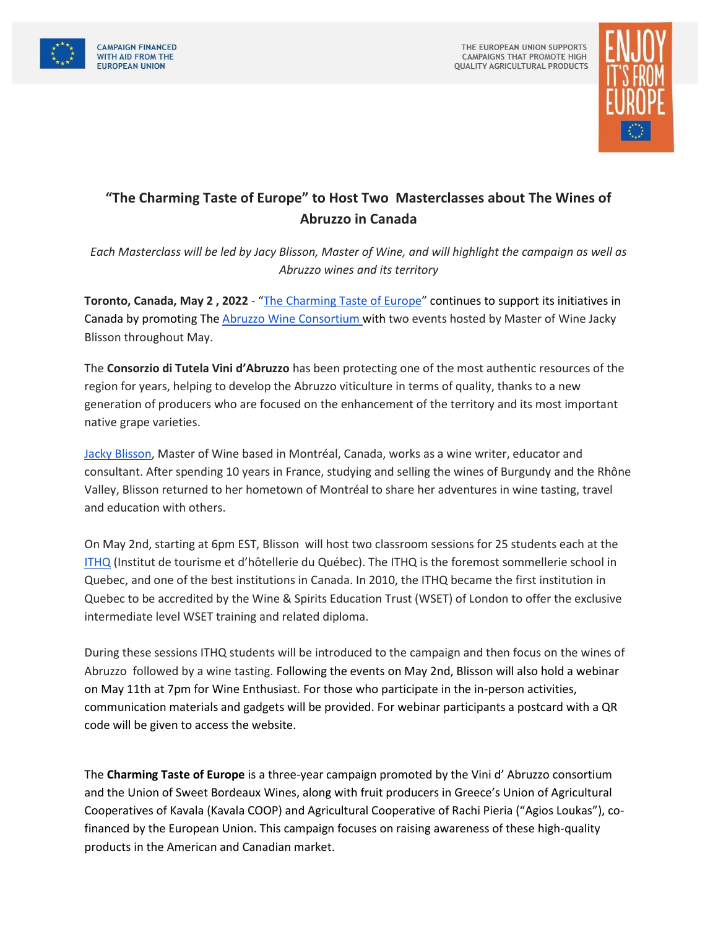



## **"The Charming Taste of Europe" to Host Two Masterclasses about The Wines of Abruzzo in Canada**

*Each Masterclass will be led by Jacy Blisson, Master of Wine, and will highlight the campaign as well as Abruzzo wines and its territory*

**Toronto, Canada, May 2 , 2022** - "[The Charming Taste of Europe](https://www.charmingtasteofeurope.eu/en/)" continues to support its initiatives in Canada by promoting Th[e Abruzzo Wine Consortium w](https://www.vinidabruzzo.it/en/)ith two events hosted by Master of Wine Jacky Blisson throughout May.

The **Consorzio di Tutela Vini d'Abruzzo** has been protecting one of the most authentic resources of the region for years, helping to develop the Abruzzo viticulture in terms of quality, thanks to a new generation of producers who are focused on the enhancement of the territory and its most important native grape varieties.

[Jacky Blisson,](https://jackyblisson.com/) Master of Wine based in Montréal, Canada, works as a wine writer, educator and consultant. After spending 10 years in France, studying and selling the wines of Burgundy and the Rhône Valley, Blisson returned to her hometown of Montréal to share her adventures in wine tasting, travel and education with others.

On May 2nd, starting at 6pm EST, Blisson will host two classroom sessions for 25 students each at the [ITHQ](https://www.ithq.qc.ca/en/school/) (Institut de tourisme et d'hôtellerie du Québec). The ITHQ is the foremost sommellerie school in Quebec, and one of the best institutions in Canada. In 2010, the ITHQ became the first institution in Quebec to be accredited by the Wine & Spirits Education Trust (WSET) of London to offer the exclusive intermediate level WSET training and related diploma.

During these sessions ITHQ students will be introduced to the campaign and then focus on the wines of Abruzzo followed by a wine tasting. Following the events on May 2nd, Blisson will also hold a webinar on May 11th at 7pm for Wine Enthusiast. For those who participate in the in-person activities, communication materials and gadgets will be provided. For webinar participants a postcard with a QR code will be given to access the website.

The **Charming Taste of Europe** is a three-year campaign promoted by the Vini d' Abruzzo consortium and the Union of Sweet Bordeaux Wines, along with fruit producers in Greece's Union of Agricultural Cooperatives of Kavala (Kavala COOP) and Agricultural Cooperative of Rachi Pieria ("Agios Loukas"), cofinanced by the European Union. This campaign focuses on raising awareness of these high-quality products in the American and Canadian market.